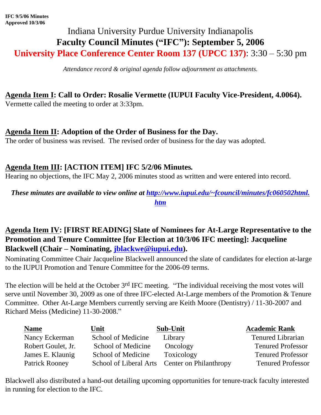# Indiana University Purdue University Indianapolis **Faculty Council Minutes ("IFC"): September 5, 2006 University Place Conference Center Room 137 (UPCC 137)**: 3:30 – 5:30 pm

*Attendance record & original agenda follow adjournment as attachments.*

# **Agenda Item I: Call to Order: Rosalie Vermette (IUPUI Faculty Vice-President, 4.0064).**

Vermette called the meeting to order at 3:33pm.

# **Agenda Item II: Adoption of the Order of Business for the Day.**

The order of business was revised. The revised order of business for the day was adopted.

# **Agenda Item III: [ACTION ITEM] IFC 5/2/06 Minutes***.*

Hearing no objections, the IFC May 2, 2006 minutes stood as written and were entered into record.

*These minutes are available to view online at [http://www.iupui.edu/~fcouncil/minutes/fc060502html.](http://www.iupui.edu/~fcouncil/minutes/fc060502html.htm) [htm](http://www.iupui.edu/~fcouncil/minutes/fc060502html.htm)*

## **Agenda Item IV: [FIRST READING] Slate of Nominees for At-Large Representative to the Promotion and Tenure Committee [for Election at 10/3/06 IFC meeting]: Jacqueline Blackwell (Chair – Nominating, [jblackwe@iupui.edu\)](mailto:jblackwe@iupui.edu).**

Nominating Committee Chair Jacqueline Blackwell announced the slate of candidates for election at-large to the IUPUI Promotion and Tenure Committee for the 2006-09 terms.

The election will be held at the October 3<sup>rd</sup> IFC meeting. "The individual receiving the most votes will serve until November 30, 2009 as one of three IFC-elected At-Large members of the Promotion & Tenure Committee. Other At-Large Members currently serving are Keith Moore (Dentistry) / 11-30-2007 and Richard Meiss (Medicine) 11-30-2008."

| <b>Name</b>        | Unit               | Sub-Unit                                      | <b>Academic Rank</b>     |
|--------------------|--------------------|-----------------------------------------------|--------------------------|
| Nancy Eckerman     | School of Medicine | Library                                       | <b>Tenured Librarian</b> |
| Robert Goulet, Jr. | School of Medicine | Oncology                                      | <b>Tenured Professor</b> |
| James E. Klaunig   | School of Medicine | Toxicology                                    | <b>Tenured Professor</b> |
| Patrick Rooney     |                    | School of Liberal Arts Center on Philanthropy | <b>Tenured Professor</b> |

Blackwell also distributed a hand-out detailing upcoming opportunities for tenure-track faculty interested in running for election to the IFC.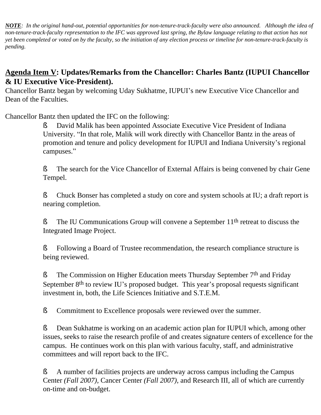*NOTE: In the original hand-out, potential opportunities for non-tenure-track-faculty were also announced. Although the idea of non-tenure-track-faculty representation to the IFC was approved last spring, the Bylaw language relating to that action has not yet been completed or voted on by the faculty, so the initiation of any election process or timeline for non-tenure-track-faculty is pending.*

### **Agenda Item V: Updates/Remarks from the Chancellor: Charles Bantz (IUPUI Chancellor & IU Executive Vice-President).**

Chancellor Bantz began by welcoming Uday Sukhatme, IUPUI's new Executive Vice Chancellor and Dean of the Faculties.

Chancellor Bantz then updated the IFC on the following:

§ David Malik has been appointed Associate Executive Vice President of Indiana University. "In that role, Malik will work directly with Chancellor Bantz in the areas of promotion and tenure and policy development for IUPUI and Indiana University's regional campuses."

§ The search for the Vice Chancellor of External Affairs is being convened by chair Gene Tempel.

§ Chuck Bonser has completed a study on core and system schools at IU; a draft report is nearing completion.

**§** The IU Communications Group will convene a September 11<sup>th</sup> retreat to discuss the Integrated Image Project.

§ Following a Board of Trustee recommendation, the research compliance structure is being reviewed.

**§** The Commission on Higher Education meets Thursday September 7<sup>th</sup> and Friday September 8<sup>th</sup> to review IU's proposed budget. This year's proposal requests significant investment in, both, the Life Sciences Initiative and S.T.E.M.

**§** Commitment to Excellence proposals were reviewed over the summer.

§ Dean Sukhatme is working on an academic action plan for IUPUI which, among other issues, seeks to raise the research profile of and creates signature centers of excellence for the campus. He continues work on this plan with various faculty, staff, and administrative committees and will report back to the IFC.

§ A number of facilities projects are underway across campus including the Campus Center *(Fall 2007),* Cancer Center *(Fall 2007)*, and Research III, all of which are currently on-time and on-budget.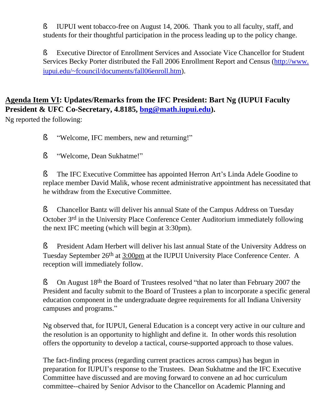§ IUPUI went tobacco-free on August 14, 2006. Thank you to all faculty, staff, and students for their thoughtful participation in the process leading up to the policy change.

§ Executive Director of Enrollment Services and Associate Vice Chancellor for Student Services Becky Porter distributed the Fall 2006 Enrollment Report and Census [\(http://www.](http://www.iupui.edu/~fcouncil/documents/fall06enroll.htm) [iupui.edu/~fcouncil/documents/fall06enroll.htm](http://www.iupui.edu/~fcouncil/documents/fall06enroll.htm)).

## **Agenda Item VI: Updates/Remarks from the IFC President: Bart Ng (IUPUI Faculty President & UFC Co-Secretary, 4.8185, [bng@math.iupui.edu](mailto:bng@math.iupui.edu)).**

Ng reported the following:

§ "Welcome, IFC members, new and returning!"

§ "Welcome, Dean Sukhatme!"

§ The IFC Executive Committee has appointed Herron Art's Linda Adele Goodine to replace member David Malik, whose recent administrative appointment has necessitated that he withdraw from the Executive Committee.

§ Chancellor Bantz will deliver his annual State of the Campus Address on Tuesday October 3rd in the University Place Conference Center Auditorium immediately following the next IFC meeting (which will begin at 3:30pm).

**§** President Adam Herbert will deliver his last annual State of the University Address on Tuesday September 26th at 3:00pm at the IUPUI University Place Conference Center. A reception will immediately follow.

**§** On August 18<sup>th</sup> the Board of Trustees resolved "that no later than February 2007 the President and faculty submit to the Board of Trustees a plan to incorporate a specific general education component in the undergraduate degree requirements for all Indiana University campuses and programs."

Ng observed that, for IUPUI, General Education is a concept very active in our culture and the resolution is an opportunity to highlight and define it. In other words this resolution offers the opportunity to develop a tactical, course-supported approach to those values.

The fact-finding process (regarding current practices across campus) has begun in preparation for IUPUI's response to the Trustees. Dean Sukhatme and the IFC Executive Committee have discussed and are moving forward to convene an ad hoc curriculum committee--chaired by Senior Advisor to the Chancellor on Academic Planning and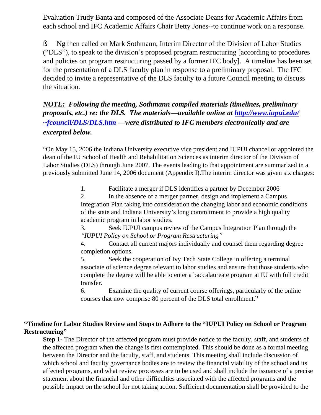Evaluation Trudy Banta and composed of the Associate Deans for Academic Affairs from each school and IFC Academic Affairs Chair Betty Jones--to continue work on a response.

§ Ng then called on Mark Sothmann, Interim Director of the Division of Labor Studies ("DLS"), to speak to the division's proposed program restructuring [according to procedures and policies on program restructuring passed by a former IFC body]. A timeline has been set for the presentation of a DLS faculty plan in response to a preliminary proposal. The IFC decided to invite a representative of the DLS faculty to a future Council meeting to discuss the situation.

*NOTE:**Following the meeting, Sothmann compiled materials (timelines, preliminary proposals, etc.) re: the DLS. The materials—available online at [http://www.iupui.edu/](http://www.iupui.edu/~fcouncil/DLS/DLS.htm) [~fcouncil/DLS/DLS.htm](http://www.iupui.edu/~fcouncil/DLS/DLS.htm) —were distributed to IFC members electronically and are excerpted below.*

"On May 15, 2006 the Indiana University executive vice president and IUPUI chancellor appointed the dean of the IU School of Health and Rehabilitation Sciences as interim director of the Division of Labor Studies (DLS) through June 2007. The events leading to that appointment are summarized in a previously submitted June 14, 2006 document (Appendix I).The interim director was given six charges:

1. Facilitate a merger if DLS identifies a partner by December 2006

2. In the absence of a merger partner, design and implement a Campus Integration Plan taking into consideration the changing labor and economic conditions of the state and Indiana University's long commitment to provide a high quality academic program in labor studies.

3. Seek IUPUI campus review of the Campus Integration Plan through the *"IUPUI Policy on School or Program Restructuring"*

4. Contact all current majors individually and counsel them regarding degree completion options.

5. Seek the cooperation of Ivy Tech State College in offering a terminal associate of science degree relevant to labor studies and ensure that those students who complete the degree will be able to enter a baccalaureate program at IU with full credit transfer.

6. Examine the quality of current course offerings, particularly of the online courses that now comprise 80 percent of the DLS total enrollment."

#### **"Timeline for Labor Studies Review and Steps to Adhere to the "IUPUI Policy on School or Program Restructuring"**

**Step 1-** The Director of the affected program must provide notice to the faculty, staff, and students of the affected program when the change is first contemplated. This should be done as a formal meeting between the Director and the faculty, staff, and students. This meeting shall include discussion of which school and faculty governance bodies are to review the financial viability of the school and its affected programs, and what review processes are to be used and shall include the issuance of a precise statement about the financial and other difficulties associated with the affected programs and the possible impact on the school for not taking action. Sufficient documentation shall be provided to the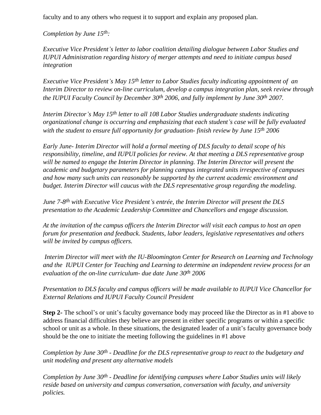faculty and to any others who request it to support and explain any proposed plan.

*Completion by June 15th:*

*Executive Vice President's letter to labor coalition detailing dialogue between Labor Studies and IUPUI Administration regarding history of merger attempts and need to initiate campus based integration*

*Executive Vice President's May 15th letter to Labor Studies faculty indicating appointment of an Interim Director to review on-line curriculum, develop a campus integration plan, seek review through the IUPUI Faculty Council by December 30th 2006, and fully implement by June 30th 2007.* 

*Interim Director's May 15th letter to all 108 Labor Studies undergraduate students indicating organizational change is occurring and emphasizing that each student's case will be fully evaluated with the student to ensure full opportunity for graduation- finish review by June 15th 2006*

*Early June- Interim Director will hold a formal meeting of DLS faculty to detail scope of his responsibility, timeline, and IUPUI policies for review. At that meeting a DLS representative group will be named to engage the Interim Director in planning. The Interim Director will present the academic and budgetary parameters for planning campus integrated units irrespective of campuses and how many such units can reasonably be supported by the current academic environment and budget. Interim Director will caucus with the DLS representative group regarding the modeling.* 

*June 7-8th with Executive Vice President's entrée, the Interim Director will present the DLS presentation to the Academic Leadership Committee and Chancellors and engage discussion.* 

*At the invitation of the campus officers the Interim Director will visit each campus to host an open forum for presentation and feedback. Students, labor leaders, legislative representatives and others will be invited by campus officers.* 

 *Interim Director will meet with the IU-Bloomington Center for Research on Learning and Technology and the IUPUI Center for Teaching and Learning to determine an independent review process for an evaluation of the on-line curriculum- due date June 30th 2006*

*Presentation to DLS faculty and campus officers will be made available to IUPUI Vice Chancellor for External Relations and IUPUI Faculty Council President*

**Step 2-** The school's or unit's faculty governance body may proceed like the Director as in #1 above to address financial difficulties they believe are present in either specific programs or within a specific school or unit as a whole. In these situations, the designated leader of a unit's faculty governance body should be the one to initiate the meeting following the guidelines in #1 above

*Completion by June 30th - Deadline for the DLS representative group to react to the budgetary and unit modeling and present any alternative models*

*Completion by June 30th - Deadline for identifying campuses where Labor Studies units will likely reside based on university and campus conversation, conversation with faculty, and university policies.*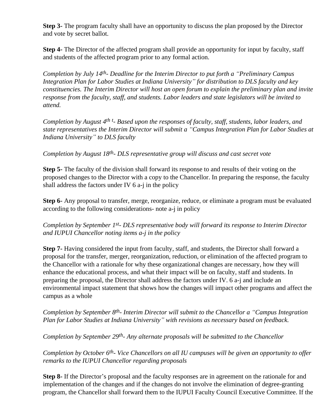**Step 3-** The program faculty shall have an opportunity to discuss the plan proposed by the Director and vote by secret ballot.

**Step 4-** The Director of the affected program shall provide an opportunity for input by faculty, staff and students of the affected program prior to any formal action.

*Completion by July 14th- Deadline for the Interim Director to put forth a "Preliminary Campus Integration Plan for Labor Studies at Indiana University" for distribution to DLS faculty and key constituencies. The Interim Director will host an open forum to explain the preliminary plan and invite response from the faculty, staff, and students. Labor leaders and state legislators will be invited to attend.*

*Completion by August 4th t - Based upon the responses of faculty, staff, students, labor leaders, and state representatives the Interim Director will submit a "Campus Integration Plan for Labor Studies at Indiana University" to DLS faculty* 

*Completion by August 18th- DLS representative group will discuss and cast secret vote*

**Step 5-** The faculty of the division shall forward its response to and results of their voting on the proposed changes to the Director with a copy to the Chancellor. In preparing the response, the faculty shall address the factors under IV 6 a-j in the policy

**Step 6-** Any proposal to transfer, merge, reorganize, reduce, or eliminate a program must be evaluated according to the following considerations- note a-j in policy

*Completion by September 1st- DLS representative body will forward its response to Interim Director and IUPUI Chancellor noting items a-j in the policy*

**Step 7-** Having considered the input from faculty, staff, and students, the Director shall forward a proposal for the transfer, merger, reorganization, reduction, or elimination of the affected program to the Chancellor with a rationale for why these organizational changes are necessary, how they will enhance the educational process, and what their impact will be on faculty, staff and students. In preparing the proposal, the Director shall address the factors under IV. 6 a-j and include an environmental impact statement that shows how the changes will impact other programs and affect the campus as a whole

*Completion by September 8th- Interim Director will submit to the Chancellor a "Campus Integration Plan for Labor Studies at Indiana University" with revisions as necessary based on feedback.* 

*Completion by September 29th- Any alternate proposals will be submitted to the Chancellor*

*Completion by October 6th- Vice Chancellors on all IU campuses will be given an opportunity to offer remarks to the IUPUI Chancellor regarding proposals* 

**Step 8-** If the Director's proposal and the faculty responses are in agreement on the rationale for and implementation of the changes and if the changes do not involve the elimination of degree-granting program, the Chancellor shall forward them to the IUPUI Faculty Council Executive Committee. If the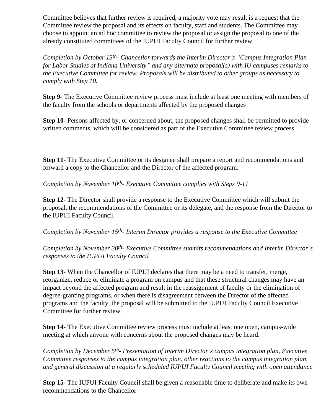Committee believes that further review is required, a majority vote may result is a request that the Committee review the proposal and its effects on faculty, staff and students. The Committee may choose to appoint an ad hoc committee to review the proposal or assign the proposal to one of the already constituted committees of the IUPUI Faculty Council for further review

*Completion by October 13th- Chancellor forwards the Interim Director's "Campus Integration Plan for Labor Studies at Indiana University" and any alternate proposal(s) with IU campuses remarks to the Executive Committee for review. Proposals will be distributed to other groups as necessary to comply with Step 10.*

**Step 9-** The Executive Committee review process must include at least one meeting with members of the faculty from the schools or departments affected by the proposed changes

**Step 10-** Persons affected by, or concerned about, the proposed changes shall be permitted to provide written comments, which will be considered as part of the Executive Committee review process

**Step 11-** The Executive Committee or its designee shall prepare a report and recommendations and forward a copy to the Chancellor and the Director of the affected program.

*Completion by November 10th- Executive Committee complies with Steps 9-11*

**Step 12-** The Director shall provide a response to the Executive Committee which will submit the proposal, the recommendations of the Committee or its delegate, and the response from the Director to the IUPUI Faculty Council

*Completion by November 15th- Interim Director provides a response to the Executive Committee*

*Completion by November 30th- Executive Committee submits recommendations and Interim Director's responses to the IUPUI Faculty Council*

**Step 13-** When the Chancellor of IUPUI declares that there may be a need to transfer, merge, reorganize, reduce or eliminate a program on campus and that these structural changes may have an impact beyond the affected program and result in the reassignment of faculty or the elimination of degree-granting programs, or when there is disagreement between the Director of the affected programs and the faculty, the proposal will be submitted to the IUPUI Faculty Council Executive Committee for further review.

**Step 14-** The Executive Committee review process must include at least one open, campus-wide meeting at which anyone with concerns about the proposed changes may be heard.

*Completion by December 5th- Presentation of Interim Director's campus integration plan, Executive Committee responses to the campus integration plan, other reactions to the campus integration plan, and general discussion at a regularly scheduled IUPUI Faculty Council meeting with open attendance*

**Step 15-** The IUPUI Faculty Council shall be given a reasonable time to deliberate and make its own recommendations to the Chancellor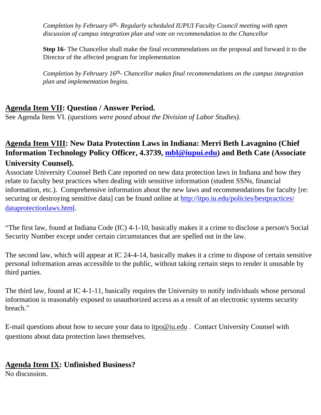*Completion by February 6th- Regularly scheduled IUPUI Faculty Council meeting with open discussion of campus integration plan and vote on recommendation to the Chancellor*

**Step 16-** The Chancellor shall make the final recommendations on the proposal and forward it to the Director of the affected program for implementation

*Completion by February 16th- Chancellor makes final recommendations on the campus integration plan and implementation begins.*

### **Agenda Item VII: Question / Answer Period.**

See Agenda Item VI. *(questions were posed about the Division of Labor Studies)*.

### **Agenda Item VIII: New Data Protection Laws in Indiana: Merri Beth Lavagnino (Chief Information Technology Policy Officer, 4.3739, [mbl@iupui.edu](mailto:mbl@iupui.edu)) and Beth Cate (Associate University Counsel).**

Associate University Counsel Beth Cate reported on new data protection laws in Indiana and how they relate to faculty best practices when dealing with sensitive information (student SSNs, financial information, etc.). Comprehensive information about the new laws and recommendations for faculty [re: securing or destroying sensitive data] can be found online at [http://itpo.iu.edu/policies/bestpractices/](http://itpo.iu.edu/policies/bestpractices/dataprotectionlaws.html) [dataprotectionlaws.html.](http://itpo.iu.edu/policies/bestpractices/dataprotectionlaws.html)

"The first law, found at Indiana Code (IC) 4-1-10, basically makes it a crime to disclose a person's Social Security Number except under certain circumstances that are spelled out in the law.

The second law, which will appear at IC 24-4-14, basically makes it a crime to dispose of certain sensitive personal information areas accessible to the public, without taking certain steps to render it unusable by third parties.

The third law, found at IC 4-1-11, basically requires the University to notify individuals whose personal information is reasonably exposed to unauthorized access as a result of an electronic systems security breach."

E-mail questions about how to secure your data to [itpo@iu.edu](mailto:itpo@iu.edu) . Contact University Counsel with questions about data protection laws themselves.

### **Agenda Item IX: Unfinished Business?**

No discussion.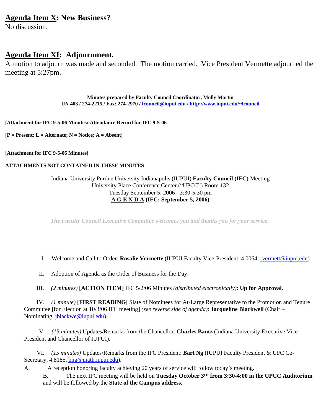#### **Agenda Item X: New Business?**

No discussion.

#### **Agenda Item XI: Adjournment.**

A motion to adjourn was made and seconded. The motion carried. Vice President Vermette adjourned the meeting at 5:27pm.

> **Minutes prepared by Faculty Council Coordinator, Molly Martin UN 403 / 274-2215 / Fax: 274-2970 / [fcouncil@iupui.edu](mailto:fcouncil@iupui.edu) /<http://www.iupui.edu/~fcouncil>**

**[Attachment for IFC 9-5-06 Minutes: Attendance Record for IFC 9-5-06**

**[P = Present; L = Alternate; N = Notice; A = Absent]**

**[Attachment for IFC 9-5-06 Minutes]**

#### **ATTACHMENTS NOT CONTAINED IN THESE MINUTES**

#### Indiana University Purdue University Indianapolis (IUPUI) **Faculty Council (IFC)** Meeting University Place Conference Center ("UPCC") Room 132 Tuesday September 5, 2006 - 3:30-5:30 pm **A G E N D A (IFC: September 5, 2006)**

*The Faculty Council Executive Committee welcomes you and thanks you for your service.* 

- I. Welcome and Call to Order: **Rosalie Vermette** (IUPUI Faculty Vice-President, 4.0064, [rvermett@iupui.edu](mailto:rvermett@iupui.edu)).
- II. Adoption of Agenda as the Order of Business for the Day.
- III. *(2 minutes)* **[ACTION ITEM]** IFC 5/2/06 Minutes *(distributed electronically)*: **Up for Approval**.

 IV. *(1 minute)* **[FIRST READING]** Slate of Nominees for At-Large Representative to the Promotion and Tenure Committee [for Election at 10/3/06 IFC meeting] *(see reverse side of agenda)*: **Jacqueline Blackwell** (Chair – Nominating, [jblackwe@iupui.edu\)](mailto:jblackwe@iupui.edu).

 V. *(15 minutes)* Updates/Remarks from the Chancellor: **Charles Bantz** (Indiana University Executive Vice President and Chancellor of IUPUI).

 VI. *(15 minutes)* Updates/Remarks from the IFC President: **Bart Ng** (IUPUI Faculty President & UFC CoSecretary, 4.8185, [bng@math.iupui.edu](mailto:bng@math.iupui.edu)).

A. A reception honoring faculty achieving 20 years of service will follow today's meeting.

B. The next IFC meeting will be held on **Tuesday October 3rd from 3:30-4:00 in the UPCC Auditorium**  and will be followed by the **State of the Campus address**.